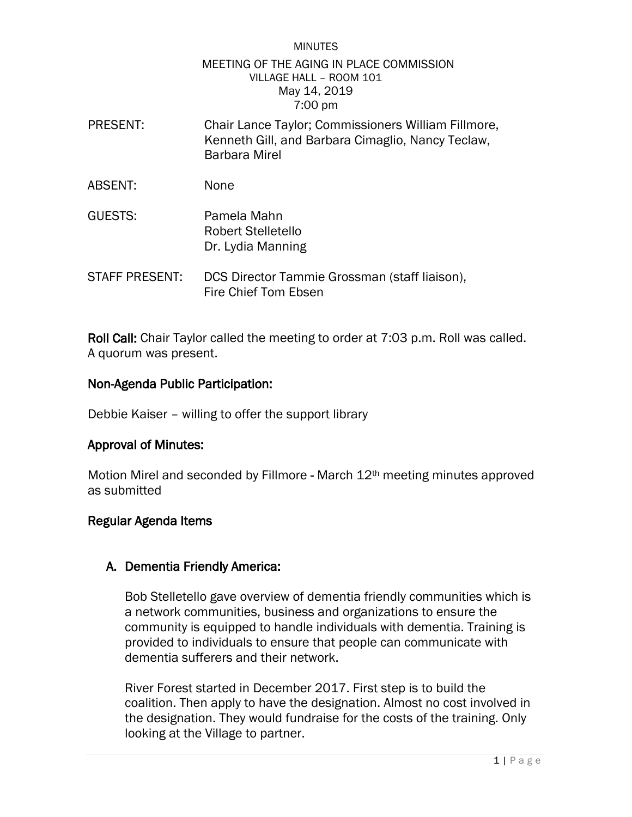#### **MINUTES** MEETING OF THE AGING IN PLACE COMMISSION VILLAGE HALL – ROOM 101 May 14, 2019 7:00 pm

- PRESENT: Chair Lance Taylor; Commissioners William Fillmore, Kenneth Gill, and Barbara Cimaglio, Nancy Teclaw, Barbara Mirel
- ABSENT: None
- GUESTS: Pamela Mahn Robert Stelletello Dr. Lydia Manning
- STAFF PRESENT: DCS Director Tammie Grossman (staff liaison), Fire Chief Tom Ebsen

Roll Call: Chair Taylor called the meeting to order at 7:03 p.m. Roll was called. A quorum was present.

## Non-Agenda Public Participation:

Debbie Kaiser – willing to offer the support library

## Approval of Minutes:

Motion Mirel and seconded by Fillmore - March 12<sup>th</sup> meeting minutes approved as submitted

## Regular Agenda Items

## A. Dementia Friendly America:

Bob Stelletello gave overview of dementia friendly communities which is a network communities, business and organizations to ensure the community is equipped to handle individuals with dementia. Training is provided to individuals to ensure that people can communicate with dementia sufferers and their network.

River Forest started in December 2017. First step is to build the coalition. Then apply to have the designation. Almost no cost involved in the designation. They would fundraise for the costs of the training. Only looking at the Village to partner.